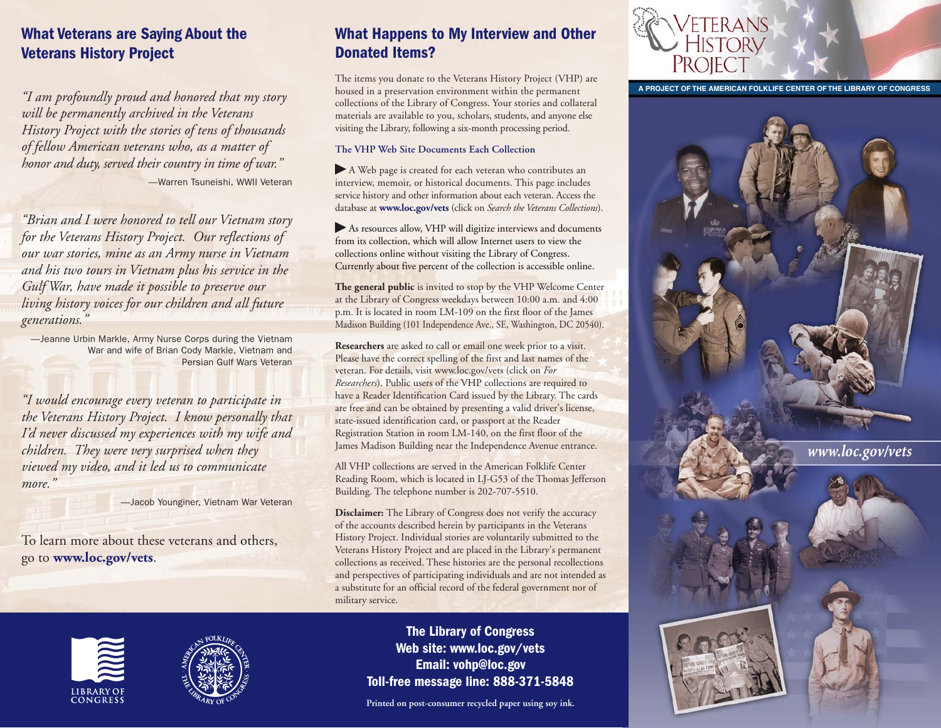## **What Veterans are Saying About the Veterans History Project**

*"I am profoundly proud and honored that my story will be permanently archived in the Veterans History Project with the stories of tens of thousands of fellow American veterans who, as a matter of honor and duty, served their country in time of war."*  —Warren Tsuneishi, WWII Veteran

*"Brian and I were honored to tell our Vietnam story for the Veterans History Project. Our reflections of our war stories, mine as an Army nurse in Vietnam and his two tours in Vietnam plus his service in the Gulf War, have made it possible to preserve our living history voices for our children and all future generations."* 

—Jeanne Urbin Markle, Army Nurse Corps during the Vietnam War and wife of Brian Cody Markle, Vietnam and Persian Gulf Wars Veteran

*"I would encourage every veteran to participate in the Veterans History Project. I know personally that I'd never discussed my experiences with my wife and children. They were very surprised when they viewed my video, and it led us to communicate more."* 

—Jacob Younginer, Vietnam War Veteran

To learn more about these veterans and others, go to **[www.loc.gov/vets](http://www.loc.gov/vets)**.

## **What Happens to My Interview and Other Donated Items?**

The items you donate to the Veterans History Project (VHP) are housed in a preservation environment within the permanent collections of the Library of Congress. Your stories and collateral materials are available to you, scholars, students, and anyone else visiting the Library, following a six-month processing period.

#### **The VHP Web Site Documents Each Collection**

� A Web page is created for each veteran who contributes an interview, memoir, or historical documents. This page includes service history and other information about each veteran. Access the database at **[www.loc.gov/vets](http://www.loc.gov/vets)** (click on *Search the Veterans Collections*).

� As resources allow, VHP will digitize interviews and documents from its collection, which will allow Internet users to view the collections online without visiting the Library of Congress. Currently about five percent of the collection is accessible online.

**The general public** is invited to stop by the VHP Welcome Center at the Library of Congress weekdays between 10:00 a.m. and 4:00 p.m. It is located in room LM-109 on the first floor of the James Madison Building (101 Independence Ave., SE, Washington, DC 20540).

**Researchers** are asked to call or email one week prior to a visit. Please have the correct spelling of the first and last names of the veteran. For details, visit [www.loc.gov/vets](http://www.loc.gov/vets) (click on *For Researchers*). Public users of the VHP collections are required to have a Reader Identification Card issued by the Library. The cards are free and can be obtained by presenting a valid driver's license, state-issued identification card, or passport at the Reader Registration Station in room LM-140, on the first floor of the James Madison Building near the Independence Avenue entrance.

All VHP collections are served in the American Folklife Center Reading Room, which is located in LJ-G53 of the Thomas Jefferson Building. The telephone number is 202-707-5510.

**Disclaimer:** The Library of Congress does not verify the accuracy of the accounts described herein by participants in the Veterans History Project. Individual stories are voluntarily submitted to the Veterans History Project and are placed in the Library's permanent collections as received. These histories are the personal recollections and perspectives of participating individuals and are not intended as a substitute for an official record of the federal government nor of military service.





**The Library of Congress Web site: [www.loc.gov/vets](http://www.loc.gov/vets)  Email: vohp@loc.gov Toll-free message line: 888-371-5848** 

**Printed on post-consumer recycled paper using soy ink.** 



**A PROJECT OF THE AMERICAN FOLKLIFE CENTER OF THE LIBRARY OF CONGRESS** 



*[www.loc.gov/vets](http://www.loc.gov/vets)*